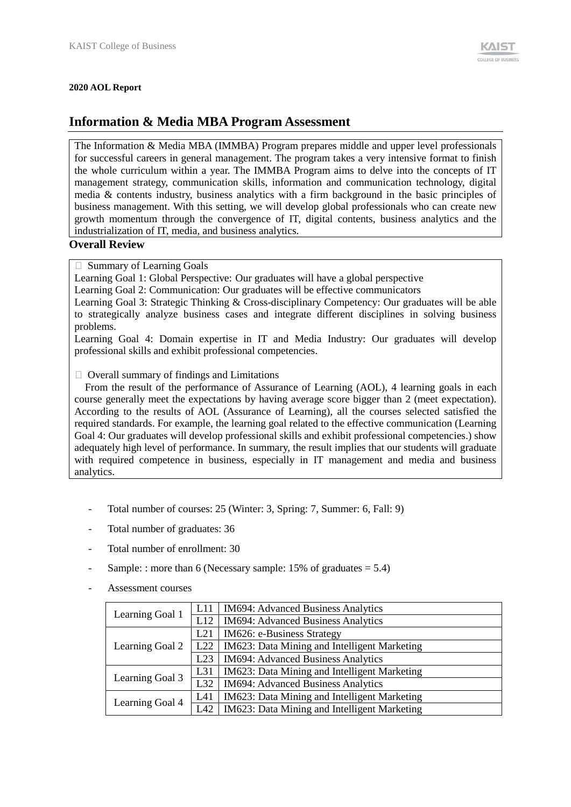#### **2020 AOL Report**

# **Information & Media MBA Program Assessment**

The Information & Media MBA (IMMBA) Program prepares middle and upper level professionals for successful careers in general management. The program takes a very intensive format to finish the whole curriculum within a year. The IMMBA Program aims to delve into the concepts of IT management strategy, communication skills, information and communication technology, digital media & contents industry, business analytics with a firm background in the basic principles of business management. With this setting, we will develop global professionals who can create new growth momentum through the convergence of IT, digital contents, business analytics and the industrialization of IT, media, and business analytics.

### **Overall Review**

 $\Box$  Summary of Learning Goals

Learning Goal 1: Global Perspective: Our graduates will have a global perspective

Learning Goal 2: Communication: Our graduates will be effective communicators

Learning Goal 3: Strategic Thinking & Cross-disciplinary Competency: Our graduates will be able to strategically analyze business cases and integrate different disciplines in solving business problems.

Learning Goal 4: Domain expertise in IT and Media Industry: Our graduates will develop professional skills and exhibit professional competencies.

 $\Box$  Overall summary of findings and Limitations

From the result of the performance of Assurance of Learning (AOL), 4 learning goals in each course generally meet the expectations by having average score bigger than 2 (meet expectation). According to the results of AOL (Assurance of Learning), all the courses selected satisfied the required standards. For example, the learning goal related to the effective communication (Learning Goal 4: Our graduates will develop professional skills and exhibit professional competencies.) show adequately high level of performance. In summary, the result implies that our students will graduate with required competence in business, especially in IT management and media and business analytics.

- Total number of courses: 25 (Winter: 3, Spring: 7, Summer: 6, Fall: 9)
- Total number of graduates: 36
- Total number of enrollment: 30
- Sample: : more than 6 (Necessary sample:  $15\%$  of graduates =  $5.4$ )
- Assessment courses

| Learning Goal 1 | L11 | <b>IM694: Advanced Business Analytics</b>    |
|-----------------|-----|----------------------------------------------|
|                 | L12 | <b>IM694: Advanced Business Analytics</b>    |
|                 | L21 | IM626: e-Business Strategy                   |
| Learning Goal 2 | L22 | IM623: Data Mining and Intelligent Marketing |
|                 | L23 | <b>IM694: Advanced Business Analytics</b>    |
| Learning Goal 3 | L31 | IM623: Data Mining and Intelligent Marketing |
|                 | L32 | <b>IM694: Advanced Business Analytics</b>    |
| Learning Goal 4 | L41 | IM623: Data Mining and Intelligent Marketing |
|                 | L42 | IM623: Data Mining and Intelligent Marketing |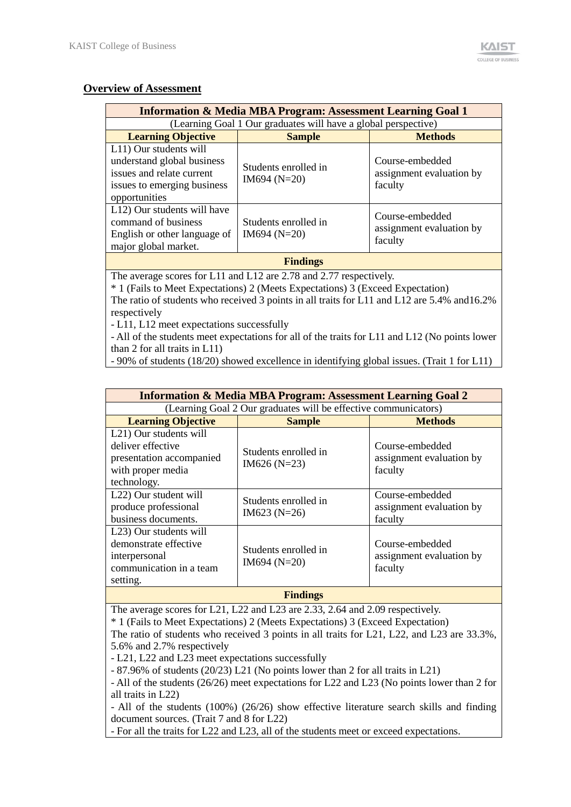## <sup>U</sup>**Overview of Assessment**

|                                                                                                                                   | <b>Information &amp; Media MBA Program: Assessment Learning Goal 1</b>                                                                                                         |                                                        |
|-----------------------------------------------------------------------------------------------------------------------------------|--------------------------------------------------------------------------------------------------------------------------------------------------------------------------------|--------------------------------------------------------|
|                                                                                                                                   | (Learning Goal 1 Our graduates will have a global perspective)                                                                                                                 |                                                        |
| <b>Learning Objective</b>                                                                                                         | <b>Sample</b>                                                                                                                                                                  | <b>Methods</b>                                         |
| L11) Our students will<br>understand global business<br>issues and relate current<br>issues to emerging business<br>opportunities | Students enrolled in<br>$IM694 (N=20)$                                                                                                                                         | Course-embedded<br>assignment evaluation by<br>faculty |
| L12) Our students will have<br>command of business<br>English or other language of<br>major global market.                        | Students enrolled in<br>$IM694 (N=20)$                                                                                                                                         | Course-embedded<br>assignment evaluation by<br>faculty |
|                                                                                                                                   | <b>Findings</b>                                                                                                                                                                |                                                        |
|                                                                                                                                   | The average scores for L11 and L12 are 2.78 and 2.77 respectively.                                                                                                             |                                                        |
| respectively                                                                                                                      | * 1 (Fails to Meet Expectations) 2 (Meets Expectations) 3 (Exceed Expectation)<br>The ratio of students who received 3 points in all traits for L11 and L12 are 5.4% and 16.2% |                                                        |

- L11, L12 meet expectations successfully

- All of the students meet expectations for all of the traits for L11 and L12 (No points lower than 2 for all traits in L11)

- 90% of students (18/20) showed excellence in identifying global issues. (Trait 1 for L11)

|                                                                                                                          | <b>Information &amp; Media MBA Program: Assessment Learning Goal 2</b> |                                                        |
|--------------------------------------------------------------------------------------------------------------------------|------------------------------------------------------------------------|--------------------------------------------------------|
|                                                                                                                          | (Learning Goal 2 Our graduates will be effective communicators)        |                                                        |
| <b>Learning Objective</b>                                                                                                | <b>Sample</b>                                                          | <b>Methods</b>                                         |
| L <sub>21</sub> ) Our students will<br>deliver effective<br>presentation accompanied<br>with proper media<br>technology. | Students enrolled in<br>$IM626 (N=23)$                                 | Course-embedded<br>assignment evaluation by<br>faculty |
| L <sub>22</sub> ) Our student will<br>produce professional<br>business documents.                                        | Students enrolled in<br>$IM623 (N=26)$                                 | Course-embedded<br>assignment evaluation by<br>faculty |
| L <sub>23</sub> ) Our students will<br>demonstrate effective<br>interpersonal<br>communication in a team<br>setting.     | Students enrolled in<br>$IM694 (N=20)$                                 | Course-embedded<br>assignment evaluation by<br>faculty |
|                                                                                                                          | <b>Findings</b>                                                        |                                                        |

The average scores for L21, L22 and L23 are 2.33, 2.64 and 2.09 respectively.

\* 1 (Fails to Meet Expectations) 2 (Meets Expectations) 3 (Exceed Expectation)

The ratio of students who received 3 points in all traits for L21, L22, and L23 are 33.3%, 5.6% and 2.7% respectively

- L21, L22 and L23 meet expectations successfully

- 87.96% of students (20/23) L21 (No points lower than 2 for all traits in L21)

- All of the students (26/26) meet expectations for L22 and L23 (No points lower than 2 for all traits in L22)

- All of the students (100%) (26/26) show effective literature search skills and finding document sources. (Trait 7 and 8 for L22)

- For all the traits for L22 and L23, all of the students meet or exceed expectations.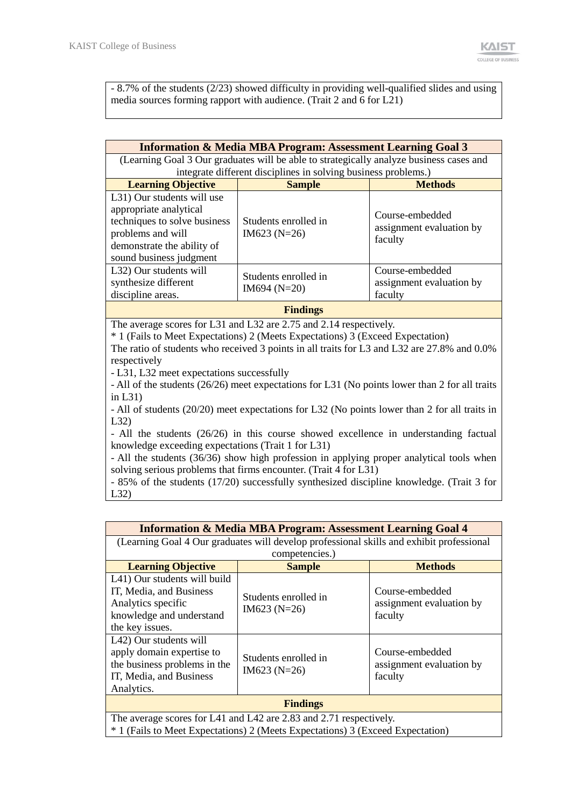$\mathcal{L}$ 

- 8.7% of the students (2/23) showed difficulty in providing well-qualified slides and using media sources forming rapport with audience. (Trait 2 and 6 for L21)

|                                                                                                                                                                    | <b>Information &amp; Media MBA Program: Assessment Learning Goal 3</b>                                |                                                        |
|--------------------------------------------------------------------------------------------------------------------------------------------------------------------|-------------------------------------------------------------------------------------------------------|--------------------------------------------------------|
|                                                                                                                                                                    | (Learning Goal 3 Our graduates will be able to strategically analyze business cases and               |                                                        |
|                                                                                                                                                                    | integrate different disciplines in solving business problems.)                                        |                                                        |
| <b>Learning Objective</b>                                                                                                                                          | <b>Sample</b>                                                                                         | <b>Methods</b>                                         |
| L31) Our students will use<br>appropriate analytical<br>techniques to solve business<br>problems and will<br>demonstrate the ability of<br>sound business judgment | Students enrolled in<br>$IM623 (N=26)$                                                                | Course-embedded<br>assignment evaluation by<br>faculty |
| L32) Our students will<br>synthesize different<br>discipline areas.                                                                                                | Students enrolled in<br>$IM694 (N=20)$                                                                | Course-embedded<br>assignment evaluation by<br>faculty |
|                                                                                                                                                                    | <b>Findings</b>                                                                                       |                                                        |
| mma.<br>$\mathbf{r}$ $\mathbf{a}$                                                                                                                                  | 1.7.22<br>$\begin{array}{ccc}\n\bullet & \pi\pi & \bullet & \bullet & \bullet & \bullet\n\end{array}$ |                                                        |

The average scores for L31 and L32 are 2.75 and 2.14 respectively.

\* 1 (Fails to Meet Expectations) 2 (Meets Expectations) 3 (Exceed Expectation)

The ratio of students who received 3 points in all traits for L3 and L32 are 27.8% and 0.0% respectively

- L31, L32 meet expectations successfully

- All of the students (26/26) meet expectations for L31 (No points lower than 2 for all traits in L31)

- All of students (20/20) meet expectations for L32 (No points lower than 2 for all traits in L32)

- All the students (26/26) in this course showed excellence in understanding factual knowledge exceeding expectations (Trait 1 for L31)

- All the students (36/36) show high profession in applying proper analytical tools when solving serious problems that firms encounter. (Trait 4 for L31)

- 85% of the students (17/20) successfully synthesized discipline knowledge. (Trait 3 for L32)

|                                                                                                                              | <b>Information &amp; Media MBA Program: Assessment Learning Goal 4</b>                   |                                                        |
|------------------------------------------------------------------------------------------------------------------------------|------------------------------------------------------------------------------------------|--------------------------------------------------------|
|                                                                                                                              | (Learning Goal 4 Our graduates will develop professional skills and exhibit professional |                                                        |
|                                                                                                                              | competencies.)                                                                           |                                                        |
| <b>Learning Objective</b>                                                                                                    | <b>Sample</b>                                                                            | <b>Methods</b>                                         |
| L41) Our students will build<br>IT, Media, and Business<br>Analytics specific<br>knowledge and understand<br>the key issues. | Students enrolled in<br>$IM623 (N=26)$                                                   | Course-embedded<br>assignment evaluation by<br>faculty |
| L42) Our students will<br>apply domain expertise to<br>the business problems in the<br>IT, Media, and Business<br>Analytics. | Students enrolled in<br>$IM623 (N=26)$                                                   | Course-embedded<br>assignment evaluation by<br>faculty |
|                                                                                                                              | <b>Findings</b>                                                                          |                                                        |
|                                                                                                                              | The average scores for L41 and L42 are 2.83 and 2.71 respectively.                       |                                                        |
|                                                                                                                              | * 1 (Fails to Meet Expectations) 2 (Meets Expectations) 3 (Exceed Expectation)           |                                                        |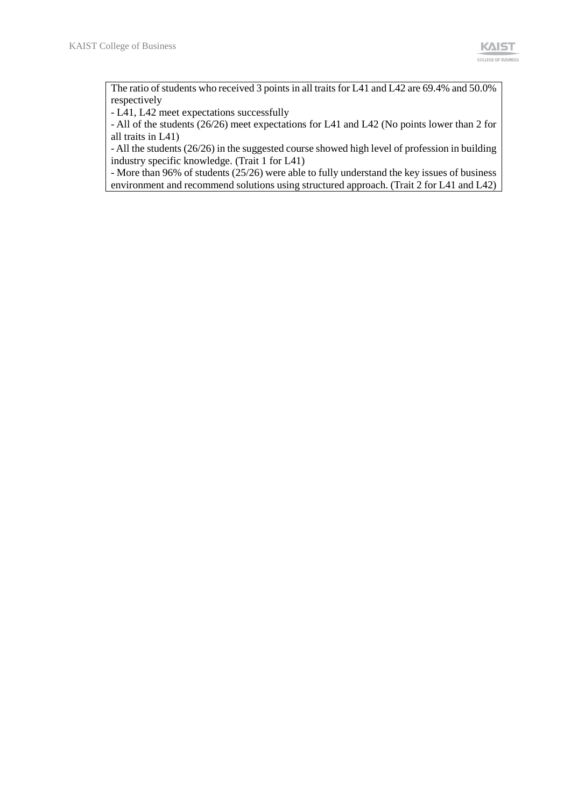The ratio of students who received 3 points in all traits for L41 and L42 are 69.4% and 50.0% respectively

- L41, L42 meet expectations successfully

- All of the students (26/26) meet expectations for L41 and L42 (No points lower than 2 for all traits in L41)

- All the students (26/26) in the suggested course showed high level of profession in building industry specific knowledge. (Trait 1 for L41)

- More than 96% of students (25/26) were able to fully understand the key issues of business environment and recommend solutions using structured approach. (Trait 2 for L41 and L42)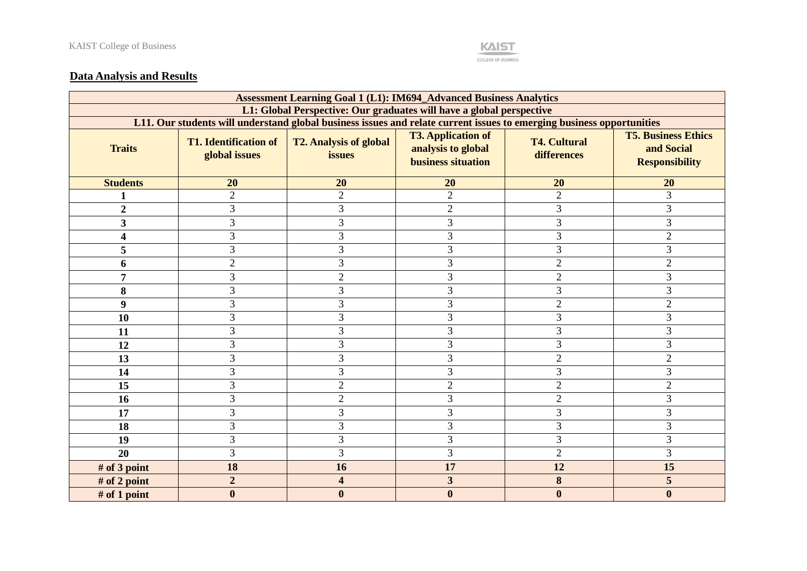

# **Data Analysis and Results**

|                         |                                                                                                                       | <b>Assessment Learning Goal 1 (L1): IM694_Advanced Business Analytics</b> |                                                                              |                                    |                                                                   |
|-------------------------|-----------------------------------------------------------------------------------------------------------------------|---------------------------------------------------------------------------|------------------------------------------------------------------------------|------------------------------------|-------------------------------------------------------------------|
|                         |                                                                                                                       | L1: Global Perspective: Our graduates will have a global perspective      |                                                                              |                                    |                                                                   |
|                         | L11. Our students will understand global business issues and relate current issues to emerging business opportunities |                                                                           |                                                                              |                                    |                                                                   |
| <b>Traits</b>           | <b>T1. Identification of</b><br>global issues                                                                         | <b>T2. Analysis of global</b><br>issues                                   | <b>T3. Application of</b><br>analysis to global<br><b>business situation</b> | <b>T4. Cultural</b><br>differences | <b>T5. Business Ethics</b><br>and Social<br><b>Responsibility</b> |
| <b>Students</b>         | 20                                                                                                                    | 20                                                                        | 20                                                                           | 20                                 | 20                                                                |
|                         | $\overline{2}$                                                                                                        | $\overline{2}$                                                            | $\overline{2}$                                                               | $\overline{2}$                     | $\overline{3}$                                                    |
| $\overline{2}$          | 3                                                                                                                     | 3                                                                         | $\overline{2}$                                                               | 3                                  | 3                                                                 |
| $\overline{\mathbf{3}}$ | 3                                                                                                                     | 3                                                                         | 3                                                                            | 3                                  | 3                                                                 |
| 4                       | 3                                                                                                                     | 3                                                                         | 3                                                                            | 3                                  | $\overline{2}$                                                    |
| 5                       | 3                                                                                                                     | 3                                                                         | $\overline{3}$                                                               | 3                                  | 3                                                                 |
| 6                       | $\overline{2}$                                                                                                        | 3                                                                         | 3                                                                            | $\overline{2}$                     | $\overline{2}$                                                    |
| $\overline{7}$          | 3                                                                                                                     | $\overline{2}$                                                            | 3                                                                            | $\overline{2}$                     | 3                                                                 |
| 8                       | 3                                                                                                                     | 3                                                                         | 3                                                                            | 3                                  | 3                                                                 |
| 9                       | 3                                                                                                                     | 3                                                                         | 3                                                                            | $\overline{2}$                     | $\overline{2}$                                                    |
| 10                      | 3                                                                                                                     | 3                                                                         | $\overline{3}$                                                               | 3                                  | 3                                                                 |
| 11                      | 3                                                                                                                     | 3                                                                         | $\overline{3}$                                                               | 3                                  | 3                                                                 |
| 12                      | 3                                                                                                                     | 3                                                                         | 3                                                                            | 3                                  | 3                                                                 |
| 13                      | 3                                                                                                                     | 3                                                                         | 3                                                                            | $\overline{2}$                     | $\sqrt{2}$                                                        |
| 14                      | 3                                                                                                                     | 3                                                                         | 3                                                                            | 3                                  | 3                                                                 |
| 15                      | 3                                                                                                                     | $\overline{2}$                                                            | $\overline{2}$                                                               | $\overline{c}$                     | $\mathfrak{2}$                                                    |
| 16                      | 3                                                                                                                     | $\overline{c}$                                                            | 3                                                                            | $\overline{c}$                     | 3                                                                 |
| 17                      | 3                                                                                                                     | 3                                                                         | 3                                                                            | 3                                  | 3                                                                 |
| 18                      | 3                                                                                                                     | 3                                                                         | 3                                                                            | 3                                  | 3                                                                 |
| 19                      | 3                                                                                                                     | 3                                                                         | 3                                                                            | 3                                  | 3                                                                 |
| 20                      | 3                                                                                                                     | 3                                                                         | 3                                                                            | $\overline{2}$                     | $\mathfrak{Z}$                                                    |
| # of 3 point            | 18                                                                                                                    | 16                                                                        | 17                                                                           | 12                                 | 15                                                                |
| # of 2 point            | $\overline{2}$                                                                                                        | 4                                                                         | 3                                                                            | 8                                  | 5                                                                 |
| # of 1 point            | $\bf{0}$                                                                                                              | $\boldsymbol{0}$                                                          | $\bf{0}$                                                                     | $\boldsymbol{0}$                   | $\bf{0}$                                                          |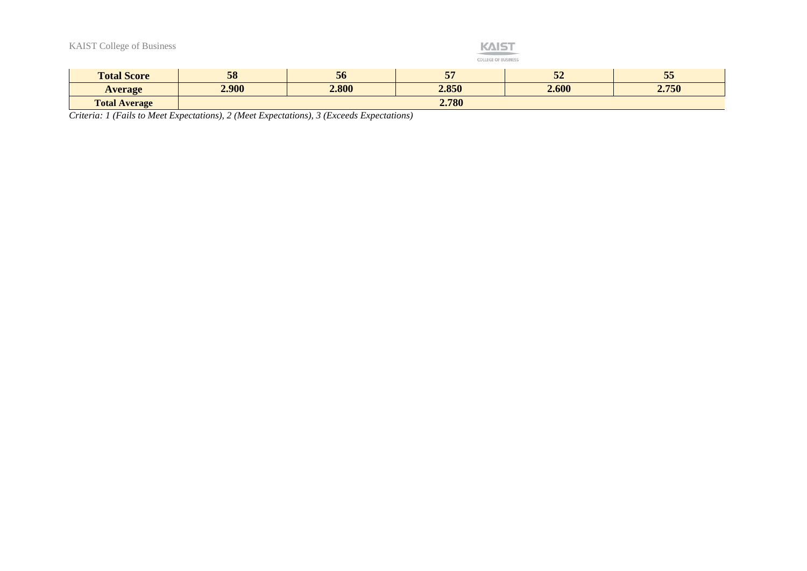| <b>KAIST College of Business</b> |       |       | <b>KAIST</b><br><b>COLLEGE OF BUSINESS</b> |       |       |
|----------------------------------|-------|-------|--------------------------------------------|-------|-------|
| <b>Total Score</b>               | 58    | 56    | 57                                         | 52    | 55    |
| <b>Average</b>                   | 2.900 | 2.800 | 2.850                                      | 2.600 | 2.750 |
| <b>Total Average</b>             |       |       | 2.780                                      |       |       |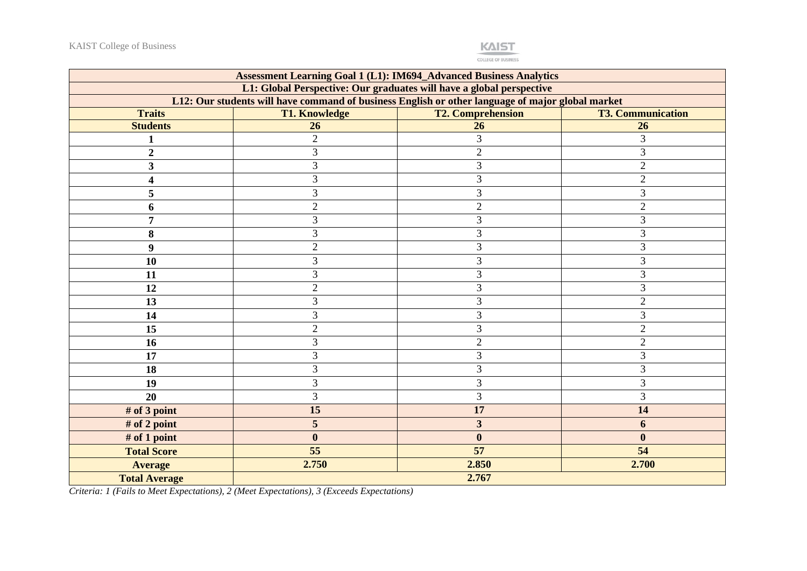

|                      |                      | <b>Assessment Learning Goal 1 (L1): IM694_Advanced Business Analytics</b>                        |                          |
|----------------------|----------------------|--------------------------------------------------------------------------------------------------|--------------------------|
|                      |                      | L1: Global Perspective: Our graduates will have a global perspective                             |                          |
|                      |                      | L12: Our students will have command of business English or other language of major global market |                          |
| <b>Traits</b>        | <b>T1. Knowledge</b> | <b>T2. Comprehension</b>                                                                         | <b>T3. Communication</b> |
| <b>Students</b>      | 26                   | 26                                                                                               | 26                       |
|                      | $\overline{2}$       | 3                                                                                                | 3                        |
| 2                    | 3                    | $\overline{2}$                                                                                   | 3                        |
| 3                    | 3                    | 3                                                                                                | $\overline{2}$           |
| 4                    | 3                    | 3                                                                                                | $\overline{2}$           |
| 5                    | 3                    | $\mathfrak{Z}$                                                                                   | 3                        |
| 6                    | $\mathbf{2}$         | $\sqrt{2}$                                                                                       | $\overline{2}$           |
| 7                    | 3                    | $\mathfrak{Z}$                                                                                   | 3                        |
| 8                    | 3                    | 3                                                                                                | 3                        |
| 9                    | $\mathbf{2}$         | 3                                                                                                | 3                        |
| 10                   | $\overline{3}$       | 3                                                                                                | 3                        |
| 11                   | 3                    | $\mathfrak{Z}$                                                                                   | 3                        |
| 12                   | $\overline{2}$       | $\mathfrak{Z}$                                                                                   | 3                        |
| 13                   | 3                    | 3                                                                                                | $\overline{c}$           |
| 14                   | 3                    | 3                                                                                                | 3                        |
| 15                   | $\overline{2}$       | 3                                                                                                | $\overline{2}$           |
| 16                   | 3                    | $\sqrt{2}$                                                                                       | $\overline{c}$           |
| 17                   | 3                    | 3                                                                                                | 3                        |
| 18                   | 3                    | 3                                                                                                | 3                        |
| 19                   | 3                    | 3                                                                                                | 3                        |
| 20                   | 3                    | 3                                                                                                | 3                        |
| # of 3 point         | 15                   | 17                                                                                               | 14                       |
| # of 2 point         | 5                    | $\mathbf{3}$                                                                                     | 6                        |
| # of 1 point         | $\boldsymbol{0}$     | $\bf{0}$                                                                                         | $\mathbf{0}$             |
| <b>Total Score</b>   | 55                   | 57                                                                                               | 54                       |
| <b>Average</b>       | 2.750                | 2.850                                                                                            | 2.700                    |
| <b>Total Average</b> |                      | 2.767                                                                                            |                          |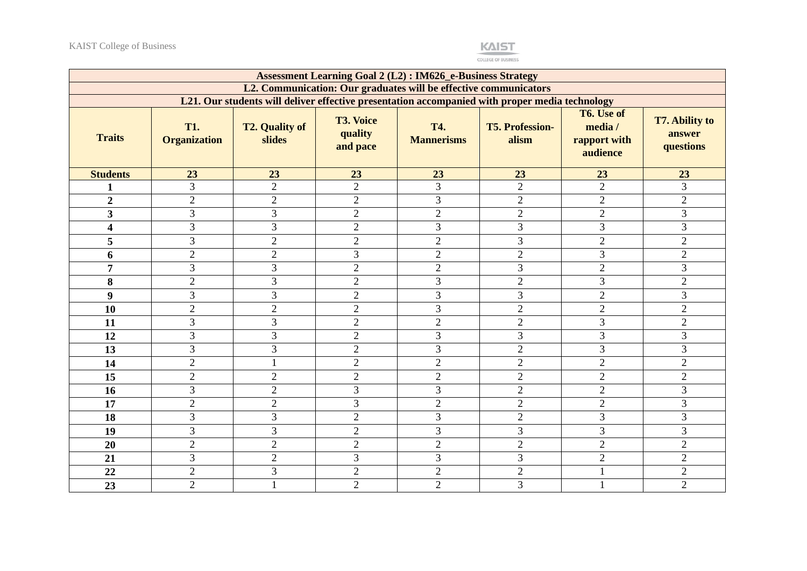

|                         |                                   |                                                                                                |                                         | <b>Assessment Learning Goal 2 (L2): IM626_e-Business Strategy</b> |                                 |                                                   |                                              |
|-------------------------|-----------------------------------|------------------------------------------------------------------------------------------------|-----------------------------------------|-------------------------------------------------------------------|---------------------------------|---------------------------------------------------|----------------------------------------------|
|                         |                                   |                                                                                                |                                         | L2. Communication: Our graduates will be effective communicators  |                                 |                                                   |                                              |
|                         |                                   | L21. Our students will deliver effective presentation accompanied with proper media technology |                                         |                                                                   |                                 |                                                   |                                              |
| <b>Traits</b>           | <b>T1.</b><br><b>Organization</b> | <b>T2. Quality of</b><br>slides                                                                | <b>T3. Voice</b><br>quality<br>and pace | <b>T4.</b><br><b>Mannerisms</b>                                   | <b>T5. Profession-</b><br>alism | T6. Use of<br>media /<br>rapport with<br>audience | <b>T7. Ability to</b><br>answer<br>questions |
| <b>Students</b>         | 23                                | 23                                                                                             | 23                                      | 23                                                                | 23                              | 23                                                | 23                                           |
|                         | $\overline{3}$                    | $\overline{2}$                                                                                 | $\overline{2}$                          | 3                                                                 | $\overline{2}$                  | $\overline{2}$                                    | $\overline{3}$                               |
| $\overline{2}$          | $\overline{2}$                    | $\overline{2}$                                                                                 | $\overline{2}$                          | $\overline{3}$                                                    | $\overline{2}$                  | $\overline{2}$                                    | $\overline{2}$                               |
| $\overline{\mathbf{3}}$ | 3                                 | 3                                                                                              | $\overline{2}$                          | $\overline{2}$                                                    | $\overline{2}$                  | $\overline{2}$                                    | 3                                            |
| $\overline{\mathbf{4}}$ | $\overline{3}$                    | 3                                                                                              | $\overline{2}$                          | $\overline{3}$                                                    | 3                               | 3                                                 | $\overline{3}$                               |
| 5                       | $\overline{3}$                    | $\overline{2}$                                                                                 | $\overline{2}$                          | $\overline{2}$                                                    | 3                               | $\overline{2}$                                    | $\overline{2}$                               |
| 6                       | $\overline{c}$                    | $\overline{2}$                                                                                 | 3                                       | $\overline{2}$                                                    | $\overline{2}$                  | 3                                                 | $\mathbf{2}$                                 |
| $\overline{7}$          | $\overline{3}$                    | 3                                                                                              | $\overline{2}$                          | $\overline{2}$                                                    | 3                               | $\overline{2}$                                    | 3                                            |
| 8                       | $\overline{2}$                    | 3                                                                                              | $\overline{2}$                          | 3                                                                 | $\overline{2}$                  | 3                                                 | $\overline{2}$                               |
| 9                       | $\overline{3}$                    | 3                                                                                              | $\overline{2}$                          | $\overline{3}$                                                    | 3                               | $\overline{2}$                                    | $\overline{3}$                               |
| 10                      | $\overline{2}$                    | $\overline{2}$                                                                                 | $\overline{2}$                          | 3                                                                 | $\overline{2}$                  | $\overline{2}$                                    | $\overline{2}$                               |
| 11                      | 3                                 | 3                                                                                              | $\overline{2}$                          | $\overline{2}$                                                    | $\overline{2}$                  | 3                                                 | $\overline{2}$                               |
| 12                      | $\overline{3}$                    | 3                                                                                              | $\overline{2}$                          | 3                                                                 | 3                               | 3                                                 | 3                                            |
| 13                      | 3                                 | 3                                                                                              | $\overline{2}$                          | 3                                                                 | $\overline{2}$                  | $\overline{3}$                                    | 3                                            |
| 14                      | $\overline{2}$                    |                                                                                                | $\overline{2}$                          | $\mathbf{2}$                                                      | $\overline{2}$                  | $\overline{2}$                                    | $\overline{2}$                               |
| 15                      | $\overline{2}$                    | $\overline{2}$                                                                                 | $\overline{2}$                          | $\overline{2}$                                                    | $\overline{2}$                  | $\overline{2}$                                    | $\overline{2}$                               |
| 16                      | $\overline{3}$                    | $\overline{2}$                                                                                 | $\overline{3}$                          | $\overline{3}$                                                    | $\overline{2}$                  | $\overline{2}$                                    | $\overline{3}$                               |
| 17                      | $\overline{2}$                    | $\overline{2}$                                                                                 | 3                                       | $\overline{2}$                                                    | $\overline{2}$                  | $\overline{2}$                                    | $\overline{3}$                               |
| 18                      | $\overline{3}$                    | 3                                                                                              | $\overline{2}$                          | $\overline{3}$                                                    | $\overline{2}$                  | 3                                                 | $\overline{3}$                               |
| 19                      | 3                                 | 3                                                                                              | $\overline{2}$                          | 3                                                                 | 3                               | 3                                                 | 3                                            |
| 20                      | $\overline{2}$                    | $\overline{2}$                                                                                 | $\overline{2}$                          | $\overline{2}$                                                    | $\overline{2}$                  | $\overline{2}$                                    | $\overline{2}$                               |
| 21                      | 3                                 | $\overline{2}$                                                                                 | 3                                       | 3                                                                 | 3                               | $\overline{2}$                                    | $\overline{2}$                               |
| 22                      | $\overline{2}$                    | 3                                                                                              | $\overline{2}$                          | $\overline{c}$                                                    | $\overline{2}$                  |                                                   | $\overline{2}$                               |
| 23                      | $\overline{2}$                    |                                                                                                | $\overline{2}$                          | $\overline{2}$                                                    | 3                               | 1                                                 | $\overline{2}$                               |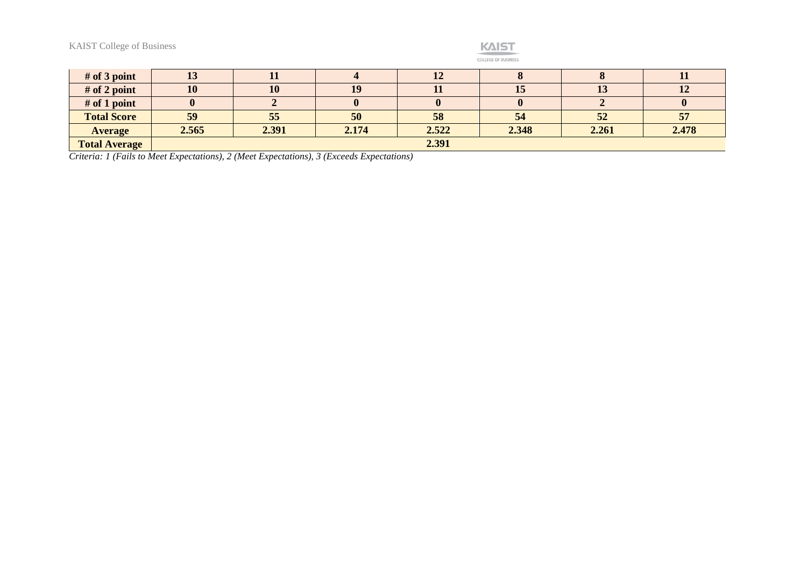

| $#$ of 3 point       | TΩ    | ш     |       | $\mathbf{L}$ |       |       | л.    |
|----------------------|-------|-------|-------|--------------|-------|-------|-------|
| $#$ of 2 point       | 10    | 10    | 19    | ᅭ            | 15    | 15    | 12    |
| # of 1 point         |       |       |       |              |       |       |       |
| <b>Total Score</b>   | 59    | 55    | 50    | 58           | 54    | 52    | 57    |
| <b>Average</b>       | 2.565 | 2.391 | 2.174 | 2.522        | 2.348 | 2.261 | 2.478 |
| <b>Total Average</b> |       |       |       | 2.391        |       |       |       |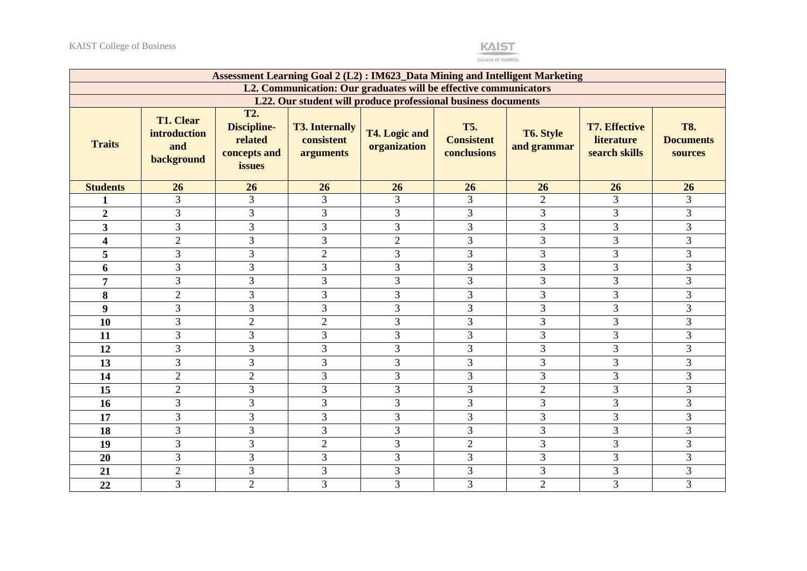

|                         |                                                       |                                                                       |                                                  | Assessment Learning Goal 2 (L2): IM623_Data Mining and Intelligent Marketing |                                                |                          |                                                            |                                           |
|-------------------------|-------------------------------------------------------|-----------------------------------------------------------------------|--------------------------------------------------|------------------------------------------------------------------------------|------------------------------------------------|--------------------------|------------------------------------------------------------|-------------------------------------------|
|                         |                                                       |                                                                       |                                                  | L2. Communication: Our graduates will be effective communicators             |                                                |                          |                                                            |                                           |
|                         |                                                       |                                                                       |                                                  | L22. Our student will produce professional business documents                |                                                |                          |                                                            |                                           |
| <b>Traits</b>           | <b>T1. Clear</b><br>introduction<br>and<br>background | <b>T2.</b><br><b>Discipline-</b><br>related<br>concepts and<br>issues | <b>T3. Internally</b><br>consistent<br>arguments | <b>T4. Logic and</b><br>organization                                         | <b>T5.</b><br><b>Consistent</b><br>conclusions | T6. Style<br>and grammar | <b>T7. Effective</b><br><b>literature</b><br>search skills | <b>T8.</b><br><b>Documents</b><br>sources |
| <b>Students</b>         | 26                                                    | 26                                                                    | 26                                               | 26                                                                           | 26                                             | 26                       | 26                                                         | 26                                        |
| 1                       | 3                                                     | 3                                                                     | $\overline{3}$                                   | 3                                                                            | 3                                              | $\overline{2}$           | 3                                                          | 3                                         |
| $\overline{2}$          | 3                                                     | 3                                                                     | $\overline{3}$                                   | 3                                                                            | 3                                              | 3                        | 3                                                          | 3                                         |
| $\overline{\mathbf{3}}$ | $\overline{3}$                                        | 3                                                                     | 3                                                | 3                                                                            | 3                                              | $\overline{3}$           | $\overline{3}$                                             | 3                                         |
| 4                       | $\overline{2}$                                        | 3                                                                     | 3                                                | $\overline{2}$                                                               | 3                                              | 3                        | 3                                                          | 3                                         |
| 5                       | 3                                                     | 3                                                                     | $\overline{2}$                                   | 3                                                                            | 3                                              | 3                        | 3                                                          | 3                                         |
| 6                       | 3                                                     | 3                                                                     | $\overline{3}$                                   | 3                                                                            | 3                                              | 3                        | 3                                                          | 3                                         |
| $\overline{7}$          | 3                                                     | 3                                                                     | 3                                                | 3                                                                            | 3                                              | 3                        | 3                                                          | 3                                         |
| 8                       | $\overline{2}$                                        | 3                                                                     | 3                                                | 3                                                                            | 3                                              | 3                        | 3                                                          | 3                                         |
| 9                       | 3                                                     | 3                                                                     | $\overline{3}$                                   | 3                                                                            | 3                                              | $\overline{3}$           | $\overline{3}$                                             | $\overline{3}$                            |
| 10                      | 3                                                     | 2                                                                     | $\overline{2}$                                   | 3                                                                            | 3                                              | 3                        | 3                                                          | 3                                         |
| 11                      | $\overline{3}$                                        | 3                                                                     | $\overline{3}$                                   | 3                                                                            | 3                                              | 3                        | 3                                                          | 3                                         |
| 12                      | 3                                                     | 3                                                                     | $\overline{3}$                                   | 3                                                                            | 3                                              | $\overline{3}$           | $\overline{3}$                                             | 3                                         |
| 13                      | 3                                                     | 3                                                                     | 3                                                | 3                                                                            | 3                                              | 3                        | 3                                                          | 3                                         |
| 14                      | $\overline{2}$                                        | 2                                                                     | $\overline{3}$                                   | 3                                                                            | 3                                              | 3                        | $\overline{3}$                                             | 3                                         |
| 15                      | $\overline{2}$                                        | 3                                                                     | $\overline{3}$                                   | 3                                                                            | 3                                              | $\overline{2}$           | 3                                                          | $\overline{3}$                            |
| 16                      | 3                                                     | 3                                                                     | 3                                                | 3                                                                            | 3                                              | $\overline{3}$           | $\overline{3}$                                             | 3                                         |
| 17                      | 3                                                     | 3                                                                     | 3                                                | 3                                                                            | 3                                              | 3                        | 3                                                          | 3                                         |
| 18                      | $\overline{3}$                                        | 3                                                                     | 3                                                | 3                                                                            | 3                                              | 3                        | 3                                                          | 3                                         |
| 19                      | 3                                                     | 3                                                                     | $\overline{2}$                                   | 3                                                                            | $\overline{2}$                                 | 3                        | $\mathfrak{Z}$                                             | 3                                         |
| 20                      | $\overline{3}$                                        | 3                                                                     | $\overline{3}$                                   | 3                                                                            | 3                                              | 3                        | 3                                                          | 3                                         |
| 21                      | $\overline{2}$                                        | 3                                                                     | 3                                                | 3                                                                            | 3                                              | 3                        | 3                                                          | 3                                         |
| 22                      | 3                                                     | $\sqrt{2}$                                                            | 3                                                | 3                                                                            | 3                                              | $\mathbf{2}$             | $\mathfrak{Z}$                                             | $\mathfrak{Z}$                            |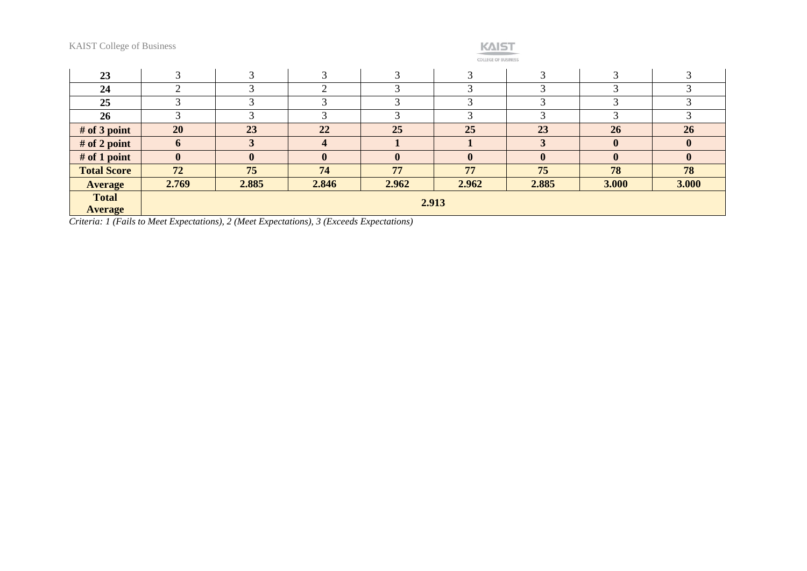| _______ |  |
|---------|--|

**COLLEGE OF BUSINESS** 

| 23                 | ⌒            |              |              | $\sqrt{2}$   | $\bigcirc$   | $\mathbf{\Omega}$ | $\bigcap$    |              |
|--------------------|--------------|--------------|--------------|--------------|--------------|-------------------|--------------|--------------|
| 24                 |              |              |              |              | $\sqrt{2}$   |                   |              |              |
| 25                 |              |              |              |              | 3            | ◠                 |              |              |
| 26                 | ⌒            |              |              | ⌒            | 3            | 3                 | 3            | ◠            |
| $#$ of 3 point     | 20           | 23           | 22           | 25           | 25           | 23                | 26           | 26           |
| # of 2 point       | $\mathbf b$  |              |              |              |              |                   | $\mathbf{0}$ | $\mathbf{0}$ |
| $#$ of 1 point     | $\mathbf{0}$ | $\mathbf{0}$ | $\mathbf{0}$ | $\mathbf{0}$ | $\mathbf{0}$ | $\mathbf{0}$      | $\mathbf{0}$ | $\mathbf{0}$ |
| <b>Total Score</b> | 72           | 75           | 74           | 77           | 77           | 75                | 78           | 78           |
| <b>Average</b>     | 2.769        | 2.885        | 2.846        | 2.962        | 2.962        | 2.885             | 3.000        | 3.000        |
| <b>Total</b>       |              | 2.913        |              |              |              |                   |              |              |
| <b>Average</b>     |              |              |              |              |              |                   |              |              |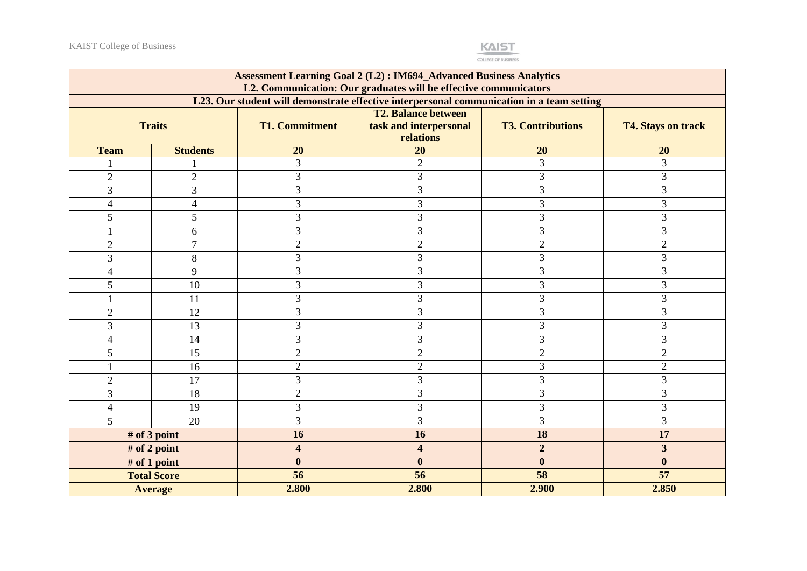

|                |                                                                  |                         | <b>Assessment Learning Goal 2 (L2): IM694_Advanced Business Analytics</b>                 |                          |                           |  |  |
|----------------|------------------------------------------------------------------|-------------------------|-------------------------------------------------------------------------------------------|--------------------------|---------------------------|--|--|
|                | L2. Communication: Our graduates will be effective communicators |                         |                                                                                           |                          |                           |  |  |
|                |                                                                  |                         | L23. Our student will demonstrate effective interpersonal communication in a team setting |                          |                           |  |  |
|                |                                                                  |                         | <b>T2. Balance between</b>                                                                |                          |                           |  |  |
|                | <b>Traits</b>                                                    | <b>T1. Commitment</b>   | task and interpersonal<br>relations                                                       | <b>T3. Contributions</b> | <b>T4. Stays on track</b> |  |  |
| <b>Team</b>    | <b>Students</b>                                                  | 20                      | 20                                                                                        | 20                       | 20                        |  |  |
|                |                                                                  | $\overline{3}$          | $\overline{2}$                                                                            | 3                        | 3                         |  |  |
| $\overline{2}$ | $\overline{2}$                                                   | 3                       | 3                                                                                         | 3                        | 3                         |  |  |
| 3              | 3                                                                | 3                       | 3                                                                                         | 3                        | 3                         |  |  |
| $\overline{4}$ | 4                                                                | 3                       | 3                                                                                         | 3                        | 3                         |  |  |
| $\mathfrak{S}$ | 5                                                                | 3                       | 3                                                                                         | 3                        | $\mathfrak{Z}$            |  |  |
| $\mathbf{1}$   | 6                                                                | 3                       | 3                                                                                         | 3                        | 3                         |  |  |
| $\overline{2}$ | $\overline{7}$                                                   | $\overline{2}$          | $\overline{2}$                                                                            | $\overline{2}$           | $\overline{2}$            |  |  |
| $\mathfrak{Z}$ | $8\,$                                                            | 3                       | 3                                                                                         | 3                        | 3                         |  |  |
| 4              | 9                                                                | 3                       | 3                                                                                         | 3                        | 3                         |  |  |
| 5              | 10                                                               | 3                       | 3                                                                                         | 3                        | 3                         |  |  |
|                | 11                                                               | 3                       | 3                                                                                         | 3                        | 3                         |  |  |
| $\overline{2}$ | 12                                                               | 3                       | 3                                                                                         | 3                        | 3                         |  |  |
| $\overline{3}$ | 13                                                               | 3                       | 3                                                                                         | 3                        | 3                         |  |  |
| $\overline{4}$ | 14                                                               | 3                       | 3                                                                                         | 3                        | 3                         |  |  |
| 5              | 15                                                               | $\overline{2}$          | $\overline{2}$                                                                            | $\overline{2}$           | $\overline{2}$            |  |  |
|                | 16                                                               | $\mathbf{2}$            | $\overline{2}$                                                                            | $\overline{3}$           | $\overline{2}$            |  |  |
| $\overline{2}$ | 17                                                               | 3                       | 3                                                                                         | 3                        | 3                         |  |  |
| 3              | 18                                                               | $\overline{2}$          | 3                                                                                         | 3                        | 3                         |  |  |
| $\overline{4}$ | 19                                                               | $\overline{3}$          | $\overline{3}$                                                                            | 3                        | 3                         |  |  |
| 5              | 20                                                               | $\overline{3}$          | 3                                                                                         | 3                        | 3                         |  |  |
|                | # of 3 point                                                     | 16                      | 16                                                                                        | 18                       | 17                        |  |  |
|                | # of 2 point                                                     | $\overline{\mathbf{4}}$ | $\overline{\mathbf{4}}$                                                                   | $\overline{2}$           | $\overline{\mathbf{3}}$   |  |  |
|                | # of 1 point                                                     | $\bf{0}$                | $\boldsymbol{0}$                                                                          | $\bf{0}$                 | $\bf{0}$                  |  |  |
|                | <b>Total Score</b>                                               | 56                      | 56                                                                                        | 58                       | 57                        |  |  |
|                | <b>Average</b>                                                   | 2.800                   | 2.800                                                                                     | 2.900                    | 2.850                     |  |  |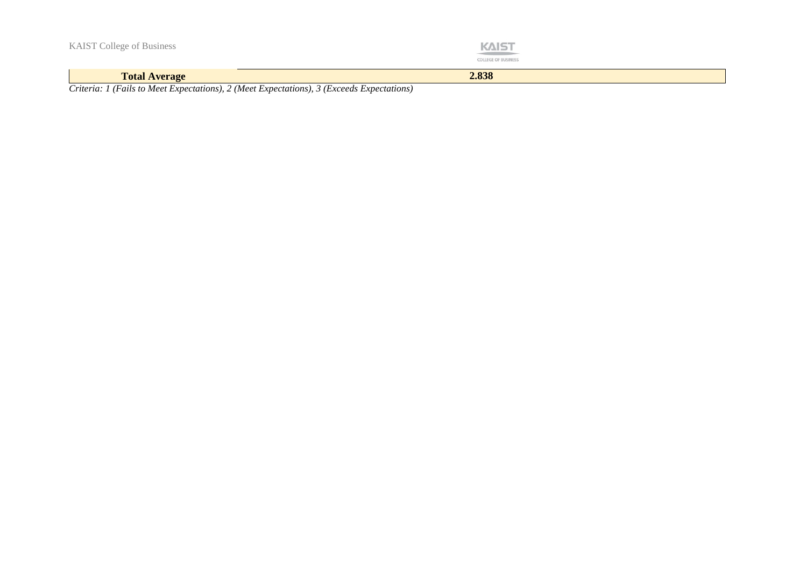| <b>KAIST College of Business</b> | <b>KAIST</b><br><b>CONTRACTOR</b> CONTRACTOR<br><b>COLLEGE OF BUSINESS</b> |
|----------------------------------|----------------------------------------------------------------------------|
| <b>Total Average</b>             | 2.838                                                                      |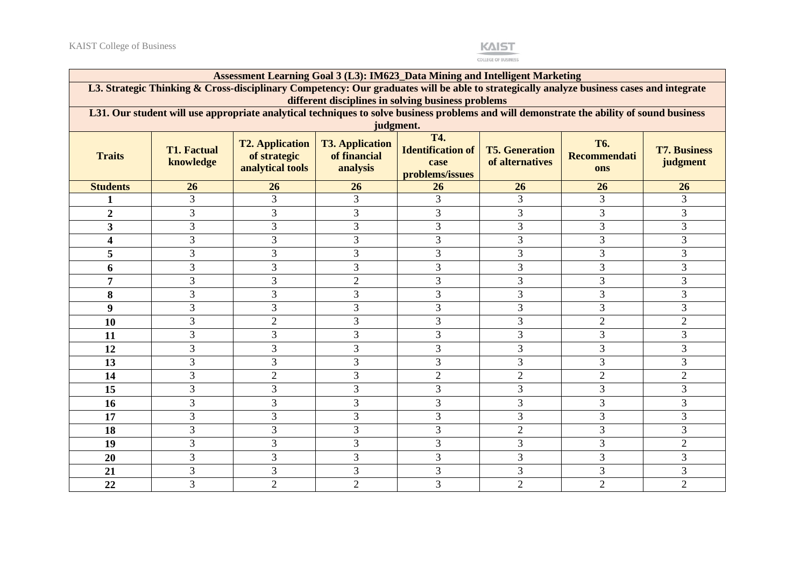

|                         | Assessment Learning Goal 3 (L3): IM623_Data Mining and Intelligent Marketing                                                                           |                                                                                                                                          |                                                    |                                                                   |                                          |                                          |                                 |  |
|-------------------------|--------------------------------------------------------------------------------------------------------------------------------------------------------|------------------------------------------------------------------------------------------------------------------------------------------|----------------------------------------------------|-------------------------------------------------------------------|------------------------------------------|------------------------------------------|---------------------------------|--|
|                         |                                                                                                                                                        | L3. Strategic Thinking & Cross-disciplinary Competency: Our graduates will be able to strategically analyze business cases and integrate |                                                    |                                                                   |                                          |                                          |                                 |  |
|                         |                                                                                                                                                        |                                                                                                                                          |                                                    | different disciplines in solving business problems                |                                          |                                          |                                 |  |
|                         | L31. Our student will use appropriate analytical techniques to solve business problems and will demonstrate the ability of sound business<br>judgment. |                                                                                                                                          |                                                    |                                                                   |                                          |                                          |                                 |  |
| <b>Traits</b>           | <b>T1. Factual</b><br>knowledge                                                                                                                        | <b>T2. Application</b><br>of strategic<br>analytical tools                                                                               | <b>T3. Application</b><br>of financial<br>analysis | <b>T4.</b><br><b>Identification of</b><br>case<br>problems/issues | <b>T5. Generation</b><br>of alternatives | <b>T6.</b><br><b>Recommendati</b><br>ons | <b>T7. Business</b><br>judgment |  |
| <b>Students</b>         | 26                                                                                                                                                     | 26                                                                                                                                       | 26                                                 | 26                                                                | 26                                       | 26                                       | 26                              |  |
|                         | 3                                                                                                                                                      | 3                                                                                                                                        | 3                                                  | 3                                                                 | 3                                        | 3                                        | 3                               |  |
| $\overline{2}$          | 3                                                                                                                                                      | 3                                                                                                                                        | 3                                                  | 3                                                                 | 3                                        | 3                                        | 3                               |  |
| $\overline{\mathbf{3}}$ | 3                                                                                                                                                      | 3                                                                                                                                        | 3                                                  | 3                                                                 | 3                                        | 3                                        | 3                               |  |
| 4                       | 3                                                                                                                                                      | 3                                                                                                                                        | 3                                                  | 3                                                                 | 3                                        | 3                                        | 3                               |  |
| 5                       | $\overline{3}$                                                                                                                                         | 3                                                                                                                                        | 3                                                  | $\overline{3}$                                                    | 3                                        | 3                                        | 3                               |  |
| 6                       | 3                                                                                                                                                      | 3                                                                                                                                        | 3                                                  | 3                                                                 | 3                                        | 3                                        | 3                               |  |
| 7                       | 3                                                                                                                                                      | 3                                                                                                                                        | $\overline{2}$                                     | 3                                                                 | 3                                        | 3                                        | 3                               |  |
| 8                       | 3                                                                                                                                                      | 3                                                                                                                                        | 3                                                  | 3                                                                 | 3                                        | 3                                        | 3                               |  |
| 9                       | 3                                                                                                                                                      | 3                                                                                                                                        | 3                                                  | 3                                                                 | 3                                        | 3                                        | 3                               |  |
| 10                      | 3                                                                                                                                                      | $\overline{2}$                                                                                                                           | 3                                                  | 3                                                                 | 3                                        | $\overline{2}$                           | $\overline{2}$                  |  |
| 11                      | 3                                                                                                                                                      | 3                                                                                                                                        | 3                                                  | 3                                                                 | 3                                        | 3                                        | 3                               |  |
| 12                      | 3                                                                                                                                                      | 3                                                                                                                                        | 3                                                  | 3                                                                 | 3                                        | 3                                        | 3                               |  |
| 13                      | 3                                                                                                                                                      | 3                                                                                                                                        | 3                                                  | 3                                                                 | 3                                        | 3                                        | 3                               |  |
| 14                      | 3                                                                                                                                                      | $\overline{2}$                                                                                                                           | 3                                                  | $\overline{2}$                                                    | $\overline{2}$                           | $\overline{2}$                           | $\overline{2}$                  |  |
| 15                      | 3                                                                                                                                                      | 3                                                                                                                                        | 3                                                  | 3                                                                 | 3                                        | 3                                        | 3                               |  |
| 16                      | 3                                                                                                                                                      | 3                                                                                                                                        | 3                                                  | 3                                                                 | 3                                        | 3                                        | 3                               |  |
| 17                      | 3                                                                                                                                                      | 3                                                                                                                                        | 3                                                  | 3                                                                 | 3                                        | 3                                        | 3                               |  |
| 18                      | 3                                                                                                                                                      | 3                                                                                                                                        | 3                                                  | 3                                                                 | $\overline{2}$                           | 3                                        | 3                               |  |
| 19                      | 3                                                                                                                                                      | 3                                                                                                                                        | 3                                                  | 3                                                                 | 3                                        | 3                                        | $\overline{2}$                  |  |
| 20                      | 3                                                                                                                                                      | 3                                                                                                                                        | 3                                                  | $\overline{3}$                                                    | 3                                        | 3                                        | 3                               |  |
| 21                      | 3                                                                                                                                                      | 3                                                                                                                                        | 3                                                  | 3                                                                 | 3                                        | 3                                        | 3                               |  |
| 22                      | 3                                                                                                                                                      | $\overline{2}$                                                                                                                           | $\overline{2}$                                     | 3                                                                 | $\overline{2}$                           | $\overline{2}$                           | $\overline{2}$                  |  |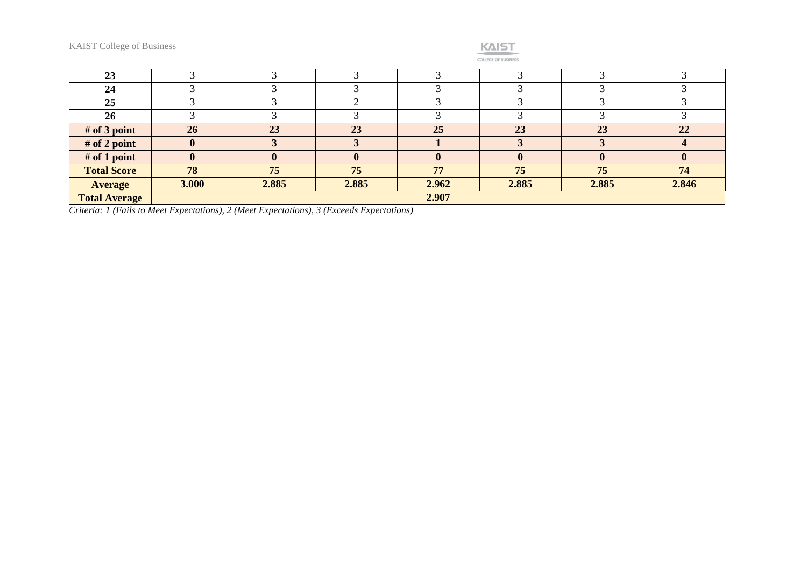

COLLEGE OF BUSINESS

| 23                   |              |       |       |       |       |       |             |
|----------------------|--------------|-------|-------|-------|-------|-------|-------------|
| 24                   |              |       |       |       |       |       |             |
| 25                   |              |       |       |       |       |       |             |
| <b>26</b>            |              |       |       |       |       |       |             |
| $#$ of 3 point       | 26           | 23    | 23    | 25    | 23    | 23    | 22          |
| # of 2 point         | $\mathbf{0}$ |       |       |       |       |       |             |
| # of 1 point         | $\mathbf{0}$ |       |       |       |       |       | $\mathbf 0$ |
| <b>Total Score</b>   | 78           | 75    | 75    | 77    | 75    | 75    | 74          |
| <b>Average</b>       | 3.000        | 2.885 | 2.885 | 2.962 | 2.885 | 2.885 | 2.846       |
| <b>Total Average</b> |              |       |       | 2.907 |       |       |             |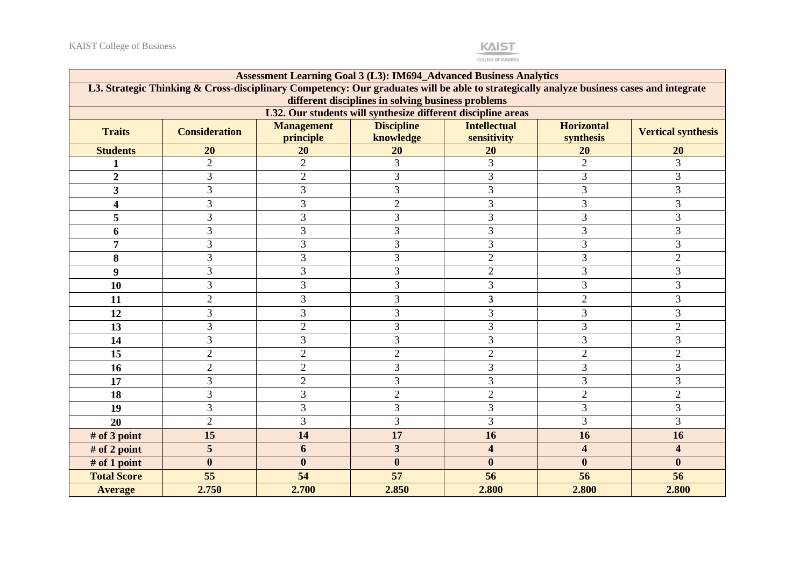

|                    | <b>Assessment Learning Goal 3 (L3): IM694_Advanced Business Analytics</b>                                                                                                                      |                   |                                                              |                     |                   |                           |
|--------------------|------------------------------------------------------------------------------------------------------------------------------------------------------------------------------------------------|-------------------|--------------------------------------------------------------|---------------------|-------------------|---------------------------|
|                    | L3. Strategic Thinking & Cross-disciplinary Competency: Our graduates will be able to strategically analyze business cases and integrate<br>different disciplines in solving business problems |                   |                                                              |                     |                   |                           |
|                    |                                                                                                                                                                                                |                   | L32. Our students will synthesize different discipline areas |                     |                   |                           |
|                    |                                                                                                                                                                                                | <b>Management</b> | <b>Discipline</b>                                            | <b>Intellectual</b> | <b>Horizontal</b> |                           |
| <b>Traits</b>      | <b>Consideration</b>                                                                                                                                                                           | principle         | knowledge                                                    | sensitivity         | synthesis         | <b>Vertical synthesis</b> |
| <b>Students</b>    | 20                                                                                                                                                                                             | 20                | 20                                                           | 20                  | 20                | 20                        |
|                    | $\overline{2}$                                                                                                                                                                                 | $\overline{2}$    | 3                                                            | 3                   | $\overline{2}$    | 3                         |
| $\overline{2}$     | 3                                                                                                                                                                                              | $\overline{2}$    | 3                                                            | 3                   | 3                 | 3                         |
| 3                  | 3                                                                                                                                                                                              | 3                 | 3                                                            | 3                   | 3                 | 3                         |
| 4                  | 3                                                                                                                                                                                              | 3                 | $\mathfrak{2}$                                               | 3                   | 3                 | 3                         |
| 5                  | 3                                                                                                                                                                                              | 3                 | 3                                                            | 3                   | 3                 | 3                         |
| 6                  | 3                                                                                                                                                                                              | 3                 | 3                                                            | 3                   | 3                 | 3                         |
| 7                  | 3                                                                                                                                                                                              | 3                 | 3                                                            | 3                   | 3                 | $\overline{3}$            |
| 8                  | 3                                                                                                                                                                                              | 3                 | 3                                                            | $\overline{2}$      | 3                 | $\overline{2}$            |
| 9                  | 3                                                                                                                                                                                              | 3                 | 3                                                            | $\overline{2}$      | 3                 | 3                         |
| 10                 | 3                                                                                                                                                                                              | 3                 | 3                                                            | 3                   | 3                 | 3                         |
| 11                 | $\overline{2}$                                                                                                                                                                                 | 3                 | 3                                                            | 3                   | $\overline{2}$    | 3                         |
| 12                 | $\overline{3}$                                                                                                                                                                                 | 3                 | 3                                                            | 3                   | 3                 | 3                         |
| 13                 | 3                                                                                                                                                                                              | $\overline{2}$    | 3                                                            | 3                   | 3                 | $\overline{2}$            |
| 14                 | 3                                                                                                                                                                                              | 3                 | 3                                                            | 3                   | 3                 | 3                         |
| 15                 | $\overline{2}$                                                                                                                                                                                 | $\overline{2}$    | $\overline{2}$                                               | $\overline{2}$      | $\overline{2}$    | $\overline{2}$            |
| 16                 | $\overline{2}$                                                                                                                                                                                 | $\overline{2}$    | 3                                                            | 3                   | 3                 | 3                         |
| 17                 | 3                                                                                                                                                                                              | $\overline{2}$    | 3                                                            | 3                   | 3                 | 3                         |
| 18                 | 3                                                                                                                                                                                              | 3                 | $\overline{2}$                                               | $\overline{2}$      | $\overline{2}$    | $\overline{2}$            |
| 19                 | 3                                                                                                                                                                                              | 3                 | 3                                                            | 3                   | 3                 | 3                         |
| 20                 | $\overline{2}$                                                                                                                                                                                 | 3                 | 3                                                            | 3                   | 3                 | 3                         |
| $#$ of 3 point     | 15                                                                                                                                                                                             | 14                | 17                                                           | 16                  | 16                | 16                        |
| # of 2 point       | 5                                                                                                                                                                                              | 6                 | 3                                                            | 4                   | 4                 | 4                         |
| # of 1 point       | $\bf{0}$                                                                                                                                                                                       | $\mathbf{0}$      | $\mathbf{0}$                                                 | $\bf{0}$            | $\bf{0}$          | $\boldsymbol{0}$          |
| <b>Total Score</b> | 55                                                                                                                                                                                             | 54                | 57                                                           | 56                  | 56                | 56                        |
| <b>Average</b>     | 2.750                                                                                                                                                                                          | 2.700             | 2.850                                                        | 2.800               | 2.800             | 2.800                     |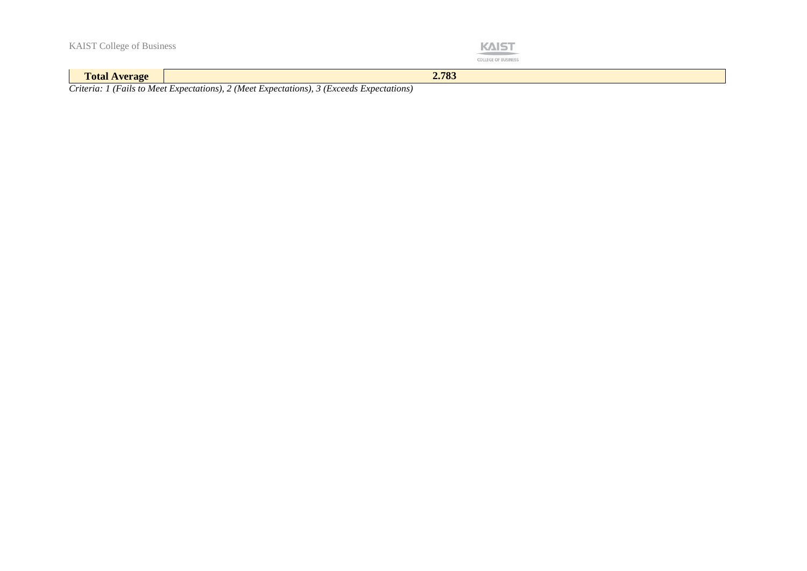|  |  | <b>KAIST College of Business</b> |
|--|--|----------------------------------|
|--|--|----------------------------------|



**Total Average 2.783**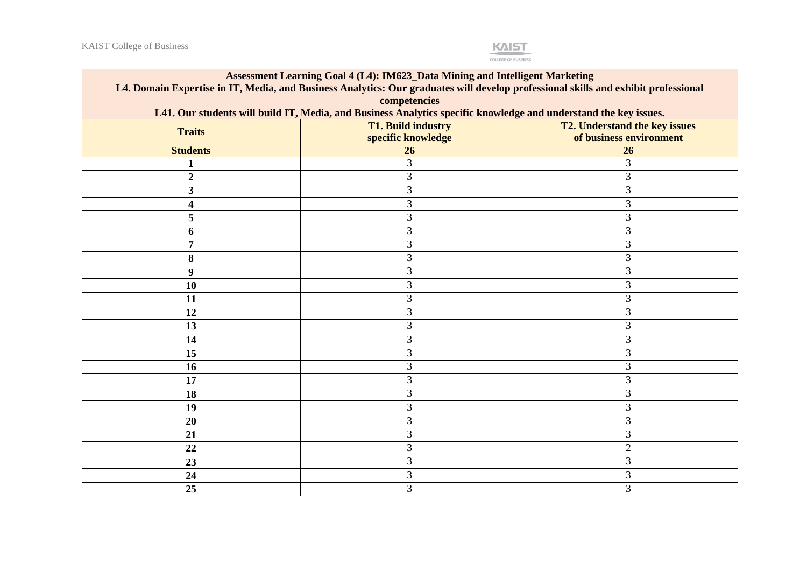

| <b>Assessment Learning Goal 4 (L4): IM623_Data Mining and Intelligent Marketing</b>                                                                |                                                                                                                  |                               |  |  |  |
|----------------------------------------------------------------------------------------------------------------------------------------------------|------------------------------------------------------------------------------------------------------------------|-------------------------------|--|--|--|
| L4. Domain Expertise in IT, Media, and Business Analytics: Our graduates will develop professional skills and exhibit professional<br>competencies |                                                                                                                  |                               |  |  |  |
|                                                                                                                                                    | L41. Our students will build IT, Media, and Business Analytics specific knowledge and understand the key issues. |                               |  |  |  |
| <b>Traits</b>                                                                                                                                      | <b>T1. Build industry</b>                                                                                        | T2. Understand the key issues |  |  |  |
|                                                                                                                                                    | specific knowledge                                                                                               | of business environment       |  |  |  |
| <b>Students</b>                                                                                                                                    | 26                                                                                                               | 26                            |  |  |  |
| $\mathbf{1}$                                                                                                                                       | 3                                                                                                                | 3                             |  |  |  |
| $\boldsymbol{2}$                                                                                                                                   | 3                                                                                                                | 3                             |  |  |  |
| 3                                                                                                                                                  | 3                                                                                                                | 3                             |  |  |  |
| 4                                                                                                                                                  | 3                                                                                                                | 3                             |  |  |  |
| 5                                                                                                                                                  | 3                                                                                                                | 3                             |  |  |  |
| 6                                                                                                                                                  | 3                                                                                                                | 3                             |  |  |  |
| 7                                                                                                                                                  | 3                                                                                                                | 3                             |  |  |  |
| 8                                                                                                                                                  | 3                                                                                                                | 3                             |  |  |  |
| 9                                                                                                                                                  | 3                                                                                                                | 3                             |  |  |  |
| 10                                                                                                                                                 | 3                                                                                                                | 3                             |  |  |  |
| 11                                                                                                                                                 | 3                                                                                                                | 3                             |  |  |  |
| 12                                                                                                                                                 | 3                                                                                                                | 3                             |  |  |  |
| 13                                                                                                                                                 | 3                                                                                                                | 3                             |  |  |  |
| 14                                                                                                                                                 | 3                                                                                                                | 3                             |  |  |  |
| 15                                                                                                                                                 | 3                                                                                                                | 3                             |  |  |  |
| 16                                                                                                                                                 | 3                                                                                                                | 3                             |  |  |  |
| 17                                                                                                                                                 | 3                                                                                                                | 3                             |  |  |  |
| 18                                                                                                                                                 | 3                                                                                                                | 3                             |  |  |  |
| 19                                                                                                                                                 | 3                                                                                                                | 3                             |  |  |  |
| 20                                                                                                                                                 | 3                                                                                                                | 3                             |  |  |  |
| 21                                                                                                                                                 | 3                                                                                                                | 3                             |  |  |  |
| 22                                                                                                                                                 | 3                                                                                                                | $\sqrt{2}$                    |  |  |  |
| 23                                                                                                                                                 | 3                                                                                                                | $\mathfrak{Z}$                |  |  |  |
| 24                                                                                                                                                 | 3                                                                                                                | 3                             |  |  |  |
| 25                                                                                                                                                 | 3                                                                                                                | 3                             |  |  |  |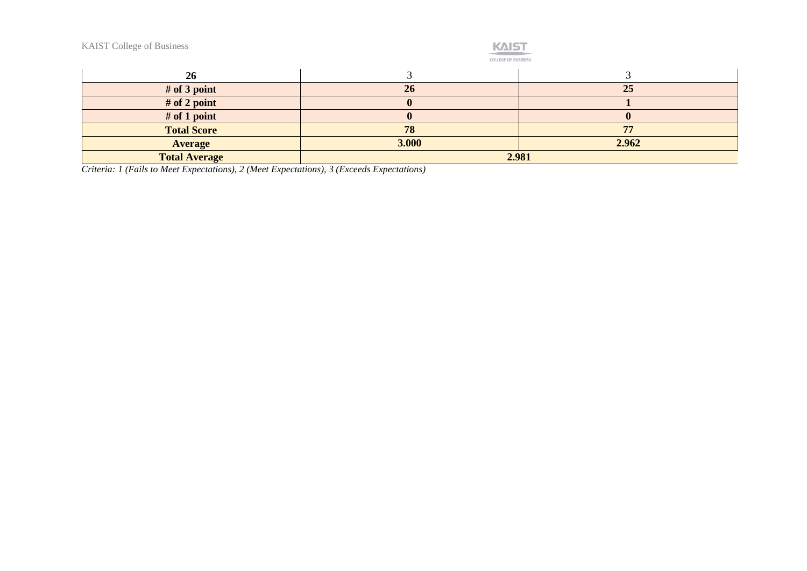

COLLEGE OF BUSINESS

| 26                   |       |       |
|----------------------|-------|-------|
| $#$ of 3 point       | 26    | 25    |
| # of 2 point         |       |       |
| $#$ of 1 point       |       |       |
| <b>Total Score</b>   | 78    | 56    |
| <b>Average</b>       | 3.000 | 2.962 |
| <b>Total Average</b> |       | 2.981 |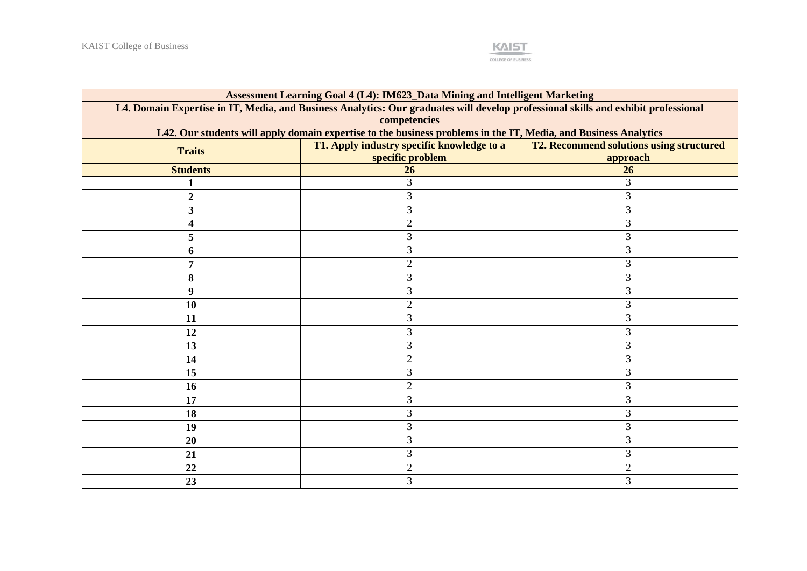

| Assessment Learning Goal 4 (L4): IM623_Data Mining and Intelligent Marketing                                                       |                                            |                                                 |  |  |  |  |
|------------------------------------------------------------------------------------------------------------------------------------|--------------------------------------------|-------------------------------------------------|--|--|--|--|
| L4. Domain Expertise in IT, Media, and Business Analytics: Our graduates will develop professional skills and exhibit professional |                                            |                                                 |  |  |  |  |
| competencies                                                                                                                       |                                            |                                                 |  |  |  |  |
| L42. Our students will apply domain expertise to the business problems in the IT, Media, and Business Analytics                    |                                            |                                                 |  |  |  |  |
| <b>Traits</b>                                                                                                                      | T1. Apply industry specific knowledge to a | <b>T2. Recommend solutions using structured</b> |  |  |  |  |
|                                                                                                                                    | specific problem                           | approach                                        |  |  |  |  |
| <b>Students</b>                                                                                                                    | 26                                         | 26                                              |  |  |  |  |
|                                                                                                                                    | 3                                          | 3                                               |  |  |  |  |
| $\boldsymbol{2}$                                                                                                                   | 3                                          | 3                                               |  |  |  |  |
| 3                                                                                                                                  | 3                                          | 3                                               |  |  |  |  |
| 4                                                                                                                                  | $\overline{2}$                             | 3                                               |  |  |  |  |
| 5                                                                                                                                  | 3                                          | 3                                               |  |  |  |  |
| 6                                                                                                                                  | 3                                          | 3                                               |  |  |  |  |
| 7                                                                                                                                  | $\overline{2}$                             | 3                                               |  |  |  |  |
| 8                                                                                                                                  | 3                                          | 3                                               |  |  |  |  |
| 9                                                                                                                                  | 3                                          | 3                                               |  |  |  |  |
| 10                                                                                                                                 | $\overline{2}$                             | 3                                               |  |  |  |  |
| 11                                                                                                                                 | 3                                          | 3                                               |  |  |  |  |
| 12                                                                                                                                 | 3                                          | 3                                               |  |  |  |  |
| 13                                                                                                                                 | 3                                          | 3                                               |  |  |  |  |
| 14                                                                                                                                 | $\overline{2}$                             | 3                                               |  |  |  |  |
| 15                                                                                                                                 | 3                                          | 3                                               |  |  |  |  |
| 16                                                                                                                                 | $\overline{2}$                             | 3                                               |  |  |  |  |
| 17                                                                                                                                 | 3                                          | $\mathfrak{Z}$                                  |  |  |  |  |
| 18                                                                                                                                 | 3                                          | 3                                               |  |  |  |  |
| 19                                                                                                                                 | 3                                          | 3                                               |  |  |  |  |
| 20                                                                                                                                 | 3                                          | 3                                               |  |  |  |  |
| 21                                                                                                                                 | 3                                          | 3                                               |  |  |  |  |
| 22                                                                                                                                 | $\overline{2}$                             | $\sqrt{2}$                                      |  |  |  |  |
| 23                                                                                                                                 | 3                                          | 3                                               |  |  |  |  |